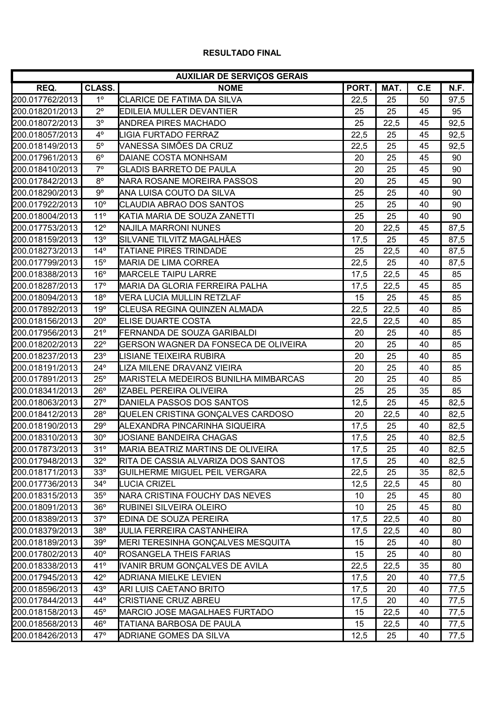## **RESULTADO FINAL**

| <b>AUXILIAR DE SERVIÇOS GERAIS</b> |                |                                             |       |      |     |      |  |  |
|------------------------------------|----------------|---------------------------------------------|-------|------|-----|------|--|--|
| REQ.                               | <b>CLASS.</b>  | <b>NOME</b>                                 | PORT. | MAT. | C.E | N.F. |  |  |
| 200.017762/2013                    | 1 <sup>o</sup> | CLARICE DE FATIMA DA SILVA                  | 22,5  | 25   | 50  | 97,5 |  |  |
| 200.018201/2013                    | $2^{\circ}$    | EDILEIA MULLER DEVANTIER                    | 25    | 25   | 45  | 95   |  |  |
| 200.018072/2013                    | 3 <sup>o</sup> | ANDREA PIRES MACHADO                        | 25    | 22,5 | 45  | 92,5 |  |  |
| 200.018057/2013                    | $4^{\circ}$    | <b>LIGIA FURTADO FERRAZ</b>                 | 22,5  | 25   | 45  | 92,5 |  |  |
| 200.018149/2013                    | $5^{\circ}$    | VANESSA SIMÕES DA CRUZ                      | 22,5  | 25   | 45  | 92,5 |  |  |
| 200.017961/2013                    | $6^{\circ}$    | DAIANE COSTA MONHSAM                        | 20    | 25   | 45  | 90   |  |  |
| 200.018410/2013                    | $7^\circ$      | <b>GLADIS BARRETO DE PAULA</b>              | 20    | 25   | 45  | 90   |  |  |
| 200.017842/2013                    | $8^{\circ}$    | <b>I</b> NARA ROSANE MOREIRA PASSOS         | 20    | 25   | 45  | 90   |  |  |
| 200.018290/2013                    | $9^{\circ}$    | IANA LUISA COUTO DA SILVA                   | 25    | 25   | 40  | 90   |  |  |
| 200.017922/2013                    | $10^{\circ}$   | CLAUDIA ABRAO DOS SANTOS                    | 25    | 25   | 40  | 90   |  |  |
| 200.018004/2013                    | $11^{\circ}$   | KATIA MARIA DE SOUZA ZANETTI                | 25    | 25   | 40  | 90   |  |  |
| 200.017753/2013                    | $12^{\circ}$   | <b>I</b> NAJILA MARRONI NUNES               | 20    | 22,5 | 45  | 87,5 |  |  |
| 200.018159/2013                    | 13°            | SILVANE TILVITZ MAGALHÃES                   | 17,5  | 25   | 45  | 87,5 |  |  |
| 200.018273/2013                    | $14^{\circ}$   | <b>TATIANE PIRES TRINDADE</b>               | 25    | 22,5 | 40  | 87,5 |  |  |
| 200.017799/2013                    | $15^{\circ}$   | <b>MARIA DE LIMA CORREA</b>                 | 22,5  | 25   | 40  | 87,5 |  |  |
| 200.018388/2013                    | 16°            | <b>MARCELE TAIPU LARRE</b>                  | 17,5  | 22,5 | 45  | 85   |  |  |
| 200.018287/2013                    | $17^\circ$     | IMARIA DA GLORIA FERREIRA PALHA             | 17,5  | 22,5 | 45  | 85   |  |  |
| 200.018094/2013                    | $18^{\circ}$   | IVERA LUCIA MULLIN RETZLAF                  | 15    | 25   | 45  | 85   |  |  |
| 200.017892/2013                    | 19°            | CLEUSA REGINA QUINZEN ALMADA                | 22,5  | 22,5 | 40  | 85   |  |  |
| 200.018156/2013                    | $20^{\circ}$   | <b>ELISE DUARTE COSTA</b>                   | 22,5  | 22,5 | 40  | 85   |  |  |
| 200.017956/2013                    | $21^{\circ}$   | FERNANDA DE SOUZA GARIBALDI                 | 20    | 25   | 40  | 85   |  |  |
| 200.018202/2013                    | $22^{\circ}$   | <b>GERSON WAGNER DA FONSECA DE OLIVEIRA</b> | 20    | 25   | 40  | 85   |  |  |
| 200.018237/2013                    | 23°            | LISIANE TEIXEIRA RUBIRA                     | 20    | 25   | 40  | 85   |  |  |
| 200.018191/2013                    | $24^\circ$     | LIZA MILENE DRAVANZ VIEIRA                  | 20    | 25   | 40  | 85   |  |  |
| 200.017891/2013                    | $25^{\circ}$   | <b>MARISTELA MEDEIROS BUNILHA MIMBARCAS</b> | 20    | 25   | 40  | 85   |  |  |
| 200.018341/2013                    | $26^{\circ}$   | IIZABEL PEREIRA OLIVEIRA                    | 25    | 25   | 35  | 85   |  |  |
| 200.018063/2013                    | $27^\circ$     | DANIELA PASSOS DOS SANTOS                   | 12,5  | 25   | 45  | 82,5 |  |  |
| 200.018412/2013                    | 28°            | QUELEN CRISTINA GONÇALVES CARDOSO           | 20    | 22,5 | 40  | 82,5 |  |  |
| 200.018190/2013                    | 29°            | ALEXANDRA PINCARINHA SIQUEIRA               | 17,5  | 25   | 40  | 82,5 |  |  |
| 200.018310/2013                    | $30^{\circ}$   | JOSIANE BANDEIRA CHAGAS                     | 17,5  | 25   | 40  | 82,5 |  |  |
| 200.017873/2013                    | 31°            | <b>MARIA BEATRIZ MARTINS DE OLIVEIRA</b>    | 17,5  | 25   | 40  | 82,5 |  |  |
| 200.017948/2013                    | $32^\circ$     | RITA DE CASSIA ALVARIZA DOS SANTOS          | 17,5  | 25   | 40  | 82,5 |  |  |
| 200.018171/2013                    | 33°            | <b>GUILHERME MIGUEL PEIL VERGARA</b>        | 22,5  | 25   | 35  | 82,5 |  |  |
| 200.017736/2013                    | $34^\circ$     | <b>LUCIA CRIZEL</b>                         | 12,5  | 22,5 | 45  | 80   |  |  |
| 200.018315/2013                    | 35°            | NARA CRISTINA FOUCHY DAS NEVES              | 10    | 25   | 45  | 80   |  |  |
| 200.018091/2013                    | 36°            | <b>RUBINEI SILVEIRA OLEIRO</b>              | 10    | 25   | 45  | 80   |  |  |
| 200.018389/2013                    | $37^\circ$     | EDINA DE SOUZA PEREIRA                      | 17,5  | 22,5 | 40  | 80   |  |  |
| 200.018379/2013                    | 38°            | <b>JULIA FERREIRA CASTANHEIRA</b>           | 17,5  | 22,5 | 40  | 80   |  |  |
| 200.018189/2013                    | 39°            | MERI TERESINHA GONÇALVES MESQUITA           | 15    | 25   | 40  | 80   |  |  |
| 200.017802/2013                    | $40^{\circ}$   | <b>ROSANGELA THEIS FARIAS</b>               | 15    | 25   | 40  | 80   |  |  |
| 200.018338/2013                    | 41°            | IVANIR BRUM GONÇALVES DE AVILA              | 22,5  | 22,5 | 35  | 80   |  |  |
| 200.017945/2013                    | $42^{\circ}$   | <b>ADRIANA MIELKE LEVIEN</b>                | 17,5  | 20   | 40  | 77,5 |  |  |
| 200.018596/2013                    | $43^\circ$     | ARI LUIS CAETANO BRITO                      | 17,5  | 20   | 40  | 77,5 |  |  |
| 200.017844/2013                    | $44^\circ$     | CRISTIANE CRUZ ABREU                        | 17,5  | 20   | 40  | 77,5 |  |  |
| 200.018158/2013                    | $45^{\circ}$   | MARCIO JOSE MAGALHAES FURTADO               | 15    | 22,5 | 40  | 77,5 |  |  |
| 200.018568/2013                    | $46^{\circ}$   | <b>TATIANA BARBOSA DE PAULA</b>             | 15    | 22,5 | 40  | 77,5 |  |  |
| 200.018426/2013                    | $47^\circ$     | ADRIANE GOMES DA SILVA                      | 12,5  | 25   | 40  | 77,5 |  |  |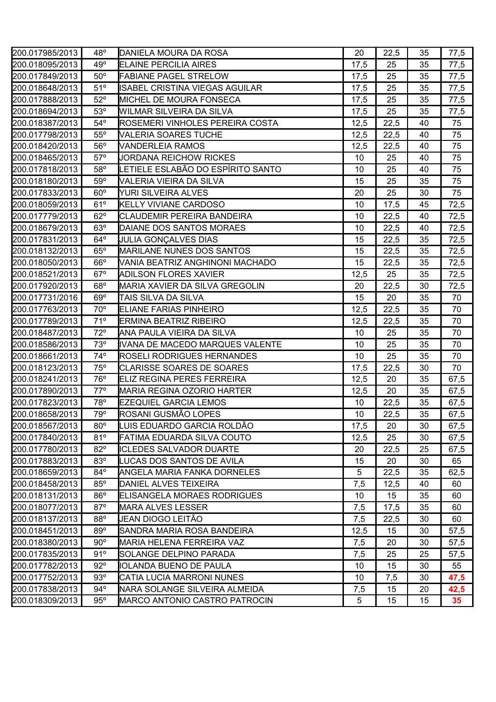| 200.017985/2013 | $48^{\circ}$ | DANIELA MOURA DA ROSA                 | 20              | 22,5 | 35 | 77,5 |
|-----------------|--------------|---------------------------------------|-----------------|------|----|------|
| 200.018095/2013 | 49°          | <b>ELAINE PERCILIA AIRES</b>          | 17,5            | 25   | 35 | 77,5 |
| 200.017849/2013 | $50^\circ$   | <b>FABIANE PAGEL STRELOW</b>          | 17,5            | 25   | 35 | 77,5 |
| 200.018648/2013 | 51°          | ISABEL CRISTINA VIEGAS AGUILAR        | 17,5            | 25   | 35 | 77,5 |
| 200.017888/2013 | $52^\circ$   | <b>MICHEL DE MOURA FONSECA</b>        | 17,5            | 25   | 35 | 77,5 |
| 200.018694/2013 | $53^\circ$   | WILMAR SILVEIRA DA SILVA              | 17,5            | 25   | 35 | 77,5 |
| 200.018387/2013 | $54^\circ$   | ROSEMERI VINHOLES PEREIRA COSTA       | 12,5            | 22,5 | 40 | 75   |
| 200.017798/2013 | $55^{\circ}$ | <b>VALERIA SOARES TUCHE</b>           | 12,5            | 22,5 | 40 | 75   |
| 200.018420/2013 | $56^\circ$   | <b>VANDERLEIA RAMOS</b>               | 12,5            | 22,5 | 40 | 75   |
| 200.018465/2013 | $57^\circ$   | JORDANA REICHOW RICKES                | 10              | 25   | 40 | 75   |
| 200.017818/2013 | $58^\circ$   | LETIELE ESLABÃO DO ESPÍRITO SANTO     | 10              | 25   | 40 | 75   |
| 200.018180/2013 | $59^\circ$   | VALERIA VIEIRA DA SILVA               | 15              | 25   | 35 | 75   |
| 200.017833/2013 | $60^\circ$   | YURI SILVEIRA ALVES                   | 20              | 25   | 30 | 75   |
| 200.018059/2013 | 61°          | <b>KELLY VIVIANE CARDOSO</b>          | 10              | 17,5 | 45 | 72,5 |
| 200.017779/2013 | $62^\circ$   | <b>CLAUDEMIR PEREIRA BANDEIRA</b>     | 10              | 22,5 | 40 | 72,5 |
| 200.018679/2013 | $63^\circ$   | DAIANE DOS SANTOS MORAES              | 10              | 22,5 | 40 | 72,5 |
| 200.017831/2013 | $64^\circ$   | <b>JULIA GONÇALVES DIAS</b>           | 15              | 22,5 | 35 | 72,5 |
| 200.018132/2013 | $65^\circ$   | <b>MARILANE NUNES DOS SANTOS</b>      | 15              | 22,5 | 35 | 72,5 |
| 200.018050/2013 | $66^\circ$   | VANIA BEATRIZ ANGHINONI MACHADO       | 15              | 22,5 | 35 | 72,5 |
| 200.018521/2013 | $67^\circ$   | <b>ADILSON FLORES XAVIER</b>          | 12,5            | 25   | 35 | 72,5 |
| 200.017920/2013 | $68^\circ$   | <b>MARIA XAVIER DA SILVA GREGOLIN</b> | 20              | 22,5 | 30 | 72,5 |
| 200.017731/2016 | $69^\circ$   | TAIS SILVA DA SILVA                   | 15              | 20   | 35 | 70   |
| 200.017763/2013 | $70^{\circ}$ | <b>ELIANE FARIAS PINHEIRO</b>         | 12,5            | 22,5 | 35 | 70   |
| 200.017789/2013 | 71°          | <b>ERMINA BEATRIZ RIBEIRO</b>         | 12,5            | 22,5 | 35 | 70   |
| 200.018487/2013 | $72^\circ$   | ANA PAULA VIEIRA DA SILVA             | 10              | 25   | 35 | 70   |
| 200.018586/2013 | $73^\circ$   | IVANA DE MACEDO MARQUES VALENTE       | 10              | 25   | 35 | 70   |
| 200.018661/2013 | $74^\circ$   | <b>ROSELI RODRIGUES HERNANDES</b>     | 10              | 25   | 35 | 70   |
| 200.018123/2013 | $75^\circ$   | <b>CLARISSE SOARES DE SOARES</b>      | 17,5            | 22,5 | 30 | 70   |
| 200.018241/2013 | $76^{\circ}$ | <b>ELIZ REGINA PERES FERREIRA</b>     | 12,5            | 20   | 35 | 67,5 |
| 200.017890/2013 | $77^\circ$   | <b>MARIA REGINA OZORIO HARTER</b>     | 12,5            | 20   | 35 | 67,5 |
| 200.017823/2013 | 78°          | <b>EZEQUIEL GARCIA LEMOS</b>          | 10              | 22,5 | 35 | 67,5 |
| 200.018658/2013 | 79°          | ROSANI GUSMÃO LOPES                   | 10              | 22,5 | 35 | 67,5 |
| 200.018567/2013 | $80^\circ$   | LUIS EDUARDO GARCIA ROLDÃO            | 17,5            | 20   | 30 | 67,5 |
| 200.017840/2013 | 81°          | FATIMA EDUARDA SILVA COUTO            | 12,5            | 25   | 30 | 67,5 |
| 200.017780/2013 | $82^\circ$   | <b>ICLEDES SALVADOR DUARTE</b>        | 20              | 22,5 | 25 | 67,5 |
| 200.017883/2013 | 83°          | LUCAS DOS SANTOS DE AVILA             | 15              | 20   | 30 | 65   |
| 200.018659/2013 | 84°          | <b>ANGELA MARIA FANKA DORNELES</b>    | 5               | 22,5 | 35 | 62,5 |
| 200.018458/2013 | $85^\circ$   | DANIEL ALVES TEIXEIRA                 | 7,5             | 12,5 | 40 | 60   |
| 200.018131/2013 | 86°          | ELISANGELA MORAES RODRIGUES           | 10 <sup>°</sup> | 15   | 35 | 60   |
| 200.018077/2013 | $87^\circ$   | <b>MARA ALVES LESSER</b>              | 7,5             | 17,5 | 35 | 60   |
| 200.018137/2013 | $88^\circ$   | JEAN DIOGO LEITÃO                     | 7,5             | 22,5 | 30 | 60   |
| 200.018451/2013 | $89^\circ$   | SANDRA MARIA ROSA BANDEIRA            | 12,5            | 15   | 30 | 57,5 |
| 200.018380/2013 | $90^{\circ}$ | <b>MARIA HELENA FERREIRA VAZ</b>      | 7,5             | 20   | 30 | 57,5 |
| 200.017835/2013 | 91°          | SOLANGE DELPINO PARADA                | 7,5             | 25   | 25 | 57,5 |
| 200.017782/2013 | $92^\circ$   | IOLANDA BUENO DE PAULA                | 10              | 15   | 30 | 55   |
| 200.017752/2013 | $93^\circ$   | CATIA LUCIA MARRONI NUNES             | 10              | 7,5  | 30 | 47,5 |
| 200.017838/2013 | $94^\circ$   | NARA SOLANGE SILVEIRA ALMEIDA         | 7,5             | 15   | 20 | 42,5 |
| 200.018309/2013 | 95°          | MARCO ANTONIO CASTRO PATROCIN         | 5               | 15   | 15 | 35   |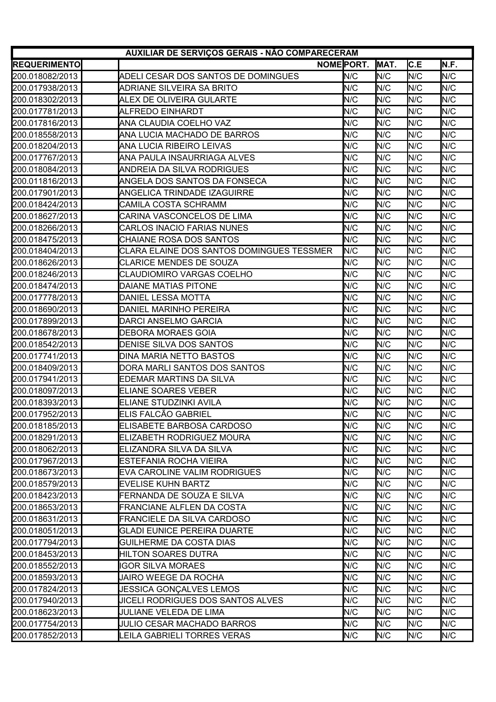| AUXILIAR DE SERVIÇOS GERAIS - NÃO COMPARECERAM |                                           |     |      |            |      |  |  |
|------------------------------------------------|-------------------------------------------|-----|------|------------|------|--|--|
| <b>REQUERIMENTO</b>                            | NOME PORT.                                |     | MAT. | C.E        | N.F. |  |  |
| 200.018082/2013                                | ADELI CESAR DOS SANTOS DE DOMINGUES       | N/C | N/C  | N/C        | N/C  |  |  |
| 200.017938/2013                                | ADRIANE SILVEIRA SA BRITO                 | N/C | N/C  | N/C        | N/C  |  |  |
| 200.018302/2013                                | <b>ALEX DE OLIVEIRA GULARTE</b>           | N/C | N/C  | N/C        | N/C  |  |  |
| 200.017781/2013                                | ALFREDO EINHARDT                          | N/C | N/C  | N/C        | N/C  |  |  |
| 200.017816/2013                                | ANA CLAUDIA COELHO VAZ                    | N/C | N/C  | N/C        | N/C  |  |  |
| 200.018558/2013                                | ANA LUCIA MACHADO DE BARROS               | N/C | N/C  | N/C        | N/C  |  |  |
| 200.018204/2013                                | ANA LUCIA RIBEIRO LEIVAS                  | N/C | N/C  | N/C        | N/C  |  |  |
| 200.017767/2013                                | ANA PAULA INSAURRIAGA ALVES               | N/C | N/C  | N/C        | N/C  |  |  |
| 200.018084/2013                                | ANDREIA DA SILVA RODRIGUES                | N/C | N/C  | N/C        | N/C  |  |  |
| 200.011816/2013                                | IANGELA DOS SANTOS DA FONSECA             | N/C | N/C  | N/C        | N/C  |  |  |
| 200.017901/2013                                | ANGELICA TRINDADE IZAGUIRRE               | N/C | N/C  | N/C        | N/C  |  |  |
| 200.018424/2013                                | CAMILA COSTA SCHRAMM                      | N/C | N/C  | N/C        | N/C  |  |  |
| 200.018627/2013                                | CARINA VASCONCELOS DE LIMA                | N/C | N/C  | N/C        | N/C  |  |  |
| 200.018266/2013                                | CARLOS INACIO FARIAS NUNES                | N/C | N/C  | N/C        | N/C  |  |  |
| 200.018475/2013                                | CHAIANE ROSA DOS SANTOS                   | N/C | N/C  | N/C        | N/C  |  |  |
| 200.018404/2013                                | CLARA ELAINE DOS SANTOS DOMINGUES TESSMER | N/C | N/C  | N/C        | N/C  |  |  |
| 200.018626/2013                                | CLARICE MENDES DE SOUZA                   | N/C | N/C  | N/C        | N/C  |  |  |
| 200.018246/2013                                | CLAUDIOMIRO VARGAS COELHO                 | N/C | N/C  | N/C        | N/C  |  |  |
| 200.018474/2013                                | <b>DAIANE MATIAS PITONE</b>               | N/C | N/C  | N/C        | N/C  |  |  |
| 200.017778/2013                                | DANIEL LESSA MOTTA                        | N/C | N/C  | N/C        | N/C  |  |  |
| 200.018690/2013                                | DANIEL MARINHO PEREIRA                    | N/C | N/C  | N/C        | N/C  |  |  |
| 200.017899/2013                                | DARCI ANSELMO GARCIA                      | N/C | N/C  | N/C        | N/C  |  |  |
| 200.018678/2013                                | DEBORA MORAES GOIA                        | N/C | N/C  | N/C        | N/C  |  |  |
| 200.018542/2013                                | DENISE SILVA DOS SANTOS                   | N/C | N/C  | N/C        | N/C  |  |  |
| 200.017741/2013                                | DINA MARIA NETTO BASTOS                   | N/C | N/C  | N/C        | N/C  |  |  |
| 200.018409/2013                                | DORA MARLI SANTOS DOS SANTOS              | N/C | N/C  | N/C        | N/C  |  |  |
| 200.017941/2013                                | <b>EDEMAR MARTINS DA SILVA</b>            | N/C | N/C  | N/C        | N/C  |  |  |
| 200.018097/2013                                | <b>ELIANE SOARES VEBER</b>                | N/C | N/C  | N/C        | N/C  |  |  |
| 200.018393/2013                                | ELIANE STUDZINKI AVILA                    | N/C | N/C  | N/C        | N/C  |  |  |
| 200.017952/2013                                | ELIS FALCÃO GABRIEL                       | N/C | N/C  | N/C        | N/C  |  |  |
| 200.018185/2013                                | ELISABETE BARBOSA CARDOSO                 | N/C | N/C  | N/C        | N/C  |  |  |
| 200.018291/2013                                | ELIZABETH RODRIGUEZ MOURA                 | N/C | N/C  | N/C        | N/C  |  |  |
| 200.018062/2013                                | ELIZANDRA SILVA DA SILVA                  | N/C | N/C  | N/C        | N/C  |  |  |
| 200.017967/2013                                | <b>ESTEFANIA ROCHA VIEIRA</b>             | N/C | N/C  | N/C        | N/C  |  |  |
| 200.018673/2013                                | EVA CAROLINE VALIM RODRIGUES              | N/C | N/C  | N/C        | N/C  |  |  |
| 200.018579/2013                                | <b>EVELISE KUHN BARTZ</b>                 | N/C | N/C  | N/C        | N/C  |  |  |
| 200.018423/2013                                | FERNANDA DE SOUZA E SILVA                 | N/C | N/C  | <b>N/C</b> | N/C  |  |  |
| 200.018653/2013                                | FRANCIANE ALFLEN DA COSTA                 | N/C | N/C  | N/C        | N/C  |  |  |
| 200.018631/2013                                | <b>FRANCIELE DA SILVA CARDOSO</b>         | N/C | N/C  | N/C        | N/C  |  |  |
| 200.018051/2013                                | <b>GLADI EUNICE PEREIRA DUARTE</b>        | N/C | N/C  | N/C        | N/C  |  |  |
| 200.017794/2013                                | <b>GUILHERME DA COSTA DIAS</b>            | N/C | N/C  | N/C        | N/C  |  |  |
| 200.018453/2013                                | HILTON SOARES DUTRA                       | N/C | N/C  | N/C        | N/C  |  |  |
| 200.018552/2013                                | <b>IGOR SILVA MORAES</b>                  | N/C | N/C  | N/C        | N/C  |  |  |
| 200.018593/2013                                | JAIRO WEEGE DA ROCHA                      | N/C | N/C  | N/C        | N/C  |  |  |
| 200.017824/2013                                | <b>JESSICA GONÇALVES LEMOS</b>            | N/C | N/C  | N/C        | N/C  |  |  |
| 200.017940/2013                                | JICELI RODRIGUES DOS SANTOS ALVES         | N/C | N/C  | N/C        | N/C  |  |  |
| 200.018623/2013                                | JULIANE VELEDA DE LIMA                    | N/C | N/C  | N/C        | N/C  |  |  |
| 200.017754/2013                                | <b>JULIO CESAR MACHADO BARROS</b>         | N/C | N/C  | N/C        | N/C  |  |  |
| 200.017852/2013                                | LEILA GABRIELI TORRES VERAS               | N/C | N/C  | IN/C       | N/C  |  |  |
|                                                |                                           |     |      |            |      |  |  |